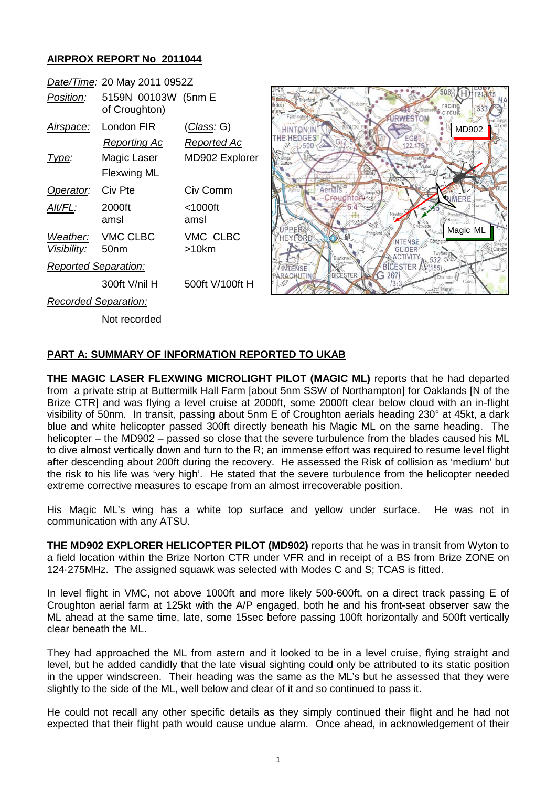## **AIRPROX REPORT No 2011044**

|                             | Date/Time: 20 May 2011 0952Z         |                                   |
|-----------------------------|--------------------------------------|-----------------------------------|
| Position:                   | 5159N 00103W (5nm E<br>of Croughton) |                                   |
| <u>Airspace:</u>            | London FIR<br>Reporting Ac           | <u>(Class</u> : G)<br>Reported Ac |
| Type:                       | Magic Laser<br>Flexwing ML           | MD902 Explorer                    |
| Operator:                   | Civ Pte                              | Civ Comm                          |
| Alt/FL:                     | 2000ft<br>amsl                       | $<$ 1000ft<br>amsl                |
| Visibility:                 | Weather: VMC CLBC<br>- 50nm          | VMC CLBC<br>>10km                 |
| <b>Reported Separation:</b> |                                      |                                   |
|                             | 300ft V/nil H                        | 500ft V/100ft H                   |
| Recorded Separation:        |                                      |                                   |

Not recorded

XH)  $121$ racing<br>Circult  $33$ **RWESTON HINTON IN** MD902THE REDGES FGBT  $500$ 122.175 Apriale Croughton  $6.4$ Â UPPER Magic ML HEYFORD 自 NTENSE GLIDER **ACTIVITY**  $532 =$ BICESTER A 532 **INTENSE** ARACHIITI  $G.267$ 

**PART A: SUMMARY OF INFORMATION REPORTED TO UKAB**

**THE MAGIC LASER FLEXWING MICROLIGHT PILOT (MAGIC ML)** reports that he had departed from a private strip at Buttermilk Hall Farm [about 5nm SSW of Northampton] for Oaklands [N of the Brize CTR] and was flying a level cruise at 2000ft, some 2000ft clear below cloud with an in-flight visibility of 50nm. In transit, passing about 5nm E of Croughton aerials heading 230° at 45kt, a dark blue and white helicopter passed 300ft directly beneath his Magic ML on the same heading. The helicopter – the MD902 – passed so close that the severe turbulence from the blades caused his ML to dive almost vertically down and turn to the R; an immense effort was required to resume level flight after descending about 200ft during the recovery. He assessed the Risk of collision as 'medium' but the risk to his life was 'very high'. He stated that the severe turbulence from the helicopter needed extreme corrective measures to escape from an almost irrecoverable position.

His Magic ML's wing has a white top surface and yellow under surface. He was not in communication with any ATSU.

**THE MD902 EXPLORER HELICOPTER PILOT (MD902)** reports that he was in transit from Wyton to a field location within the Brize Norton CTR under VFR and in receipt of a BS from Brize ZONE on 124·275MHz. The assigned squawk was selected with Modes C and S; TCAS is fitted.

In level flight in VMC, not above 1000ft and more likely 500-600ft, on a direct track passing E of Croughton aerial farm at 125kt with the A/P engaged, both he and his front-seat observer saw the ML ahead at the same time, late, some 15sec before passing 100ft horizontally and 500ft vertically clear beneath the ML.

They had approached the ML from astern and it looked to be in a level cruise, flying straight and level, but he added candidly that the late visual sighting could only be attributed to its static position in the upper windscreen. Their heading was the same as the ML's but he assessed that they were slightly to the side of the ML, well below and clear of it and so continued to pass it.

He could not recall any other specific details as they simply continued their flight and he had not expected that their flight path would cause undue alarm. Once ahead, in acknowledgement of their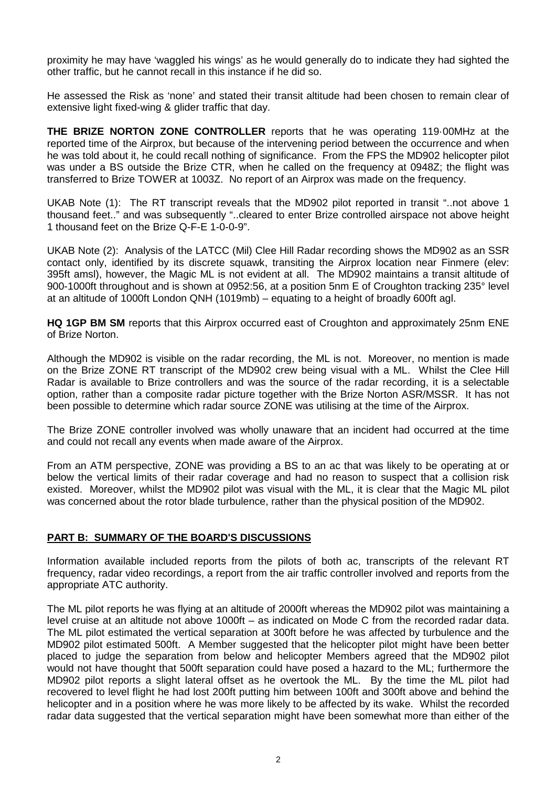proximity he may have 'waggled his wings' as he would generally do to indicate they had sighted the other traffic, but he cannot recall in this instance if he did so.

He assessed the Risk as 'none' and stated their transit altitude had been chosen to remain clear of extensive light fixed-wing & glider traffic that day.

**THE BRIZE NORTON ZONE CONTROLLER** reports that he was operating 119·00MHz at the reported time of the Airprox, but because of the intervening period between the occurrence and when he was told about it, he could recall nothing of significance. From the FPS the MD902 helicopter pilot was under a BS outside the Brize CTR, when he called on the frequency at 0948Z; the flight was transferred to Brize TOWER at 1003Z. No report of an Airprox was made on the frequency.

UKAB Note (1): The RT transcript reveals that the MD902 pilot reported in transit "..not above 1 thousand feet.." and was subsequently "..cleared to enter Brize controlled airspace not above height 1 thousand feet on the Brize Q-F-E 1-0-0-9".

UKAB Note (2): Analysis of the LATCC (Mil) Clee Hill Radar recording shows the MD902 as an SSR contact only, identified by its discrete squawk, transiting the Airprox location near Finmere (elev: 395ft amsl), however, the Magic ML is not evident at all. The MD902 maintains a transit altitude of 900-1000ft throughout and is shown at 0952:56, at a position 5nm E of Croughton tracking 235° level at an altitude of 1000ft London QNH (1019mb) – equating to a height of broadly 600ft agl.

**HQ 1GP BM SM** reports that this Airprox occurred east of Croughton and approximately 25nm ENE of Brize Norton.

Although the MD902 is visible on the radar recording, the ML is not. Moreover, no mention is made on the Brize ZONE RT transcript of the MD902 crew being visual with a ML. Whilst the Clee Hill Radar is available to Brize controllers and was the source of the radar recording, it is a selectable option, rather than a composite radar picture together with the Brize Norton ASR/MSSR. It has not been possible to determine which radar source ZONE was utilising at the time of the Airprox.

The Brize ZONE controller involved was wholly unaware that an incident had occurred at the time and could not recall any events when made aware of the Airprox.

From an ATM perspective, ZONE was providing a BS to an ac that was likely to be operating at or below the vertical limits of their radar coverage and had no reason to suspect that a collision risk existed. Moreover, whilst the MD902 pilot was visual with the ML, it is clear that the Magic ML pilot was concerned about the rotor blade turbulence, rather than the physical position of the MD902.

## **PART B: SUMMARY OF THE BOARD'S DISCUSSIONS**

Information available included reports from the pilots of both ac, transcripts of the relevant RT frequency, radar video recordings, a report from the air traffic controller involved and reports from the appropriate ATC authority.

The ML pilot reports he was flying at an altitude of 2000ft whereas the MD902 pilot was maintaining a level cruise at an altitude not above 1000ft – as indicated on Mode C from the recorded radar data. The ML pilot estimated the vertical separation at 300ft before he was affected by turbulence and the MD902 pilot estimated 500ft. A Member suggested that the helicopter pilot might have been better placed to judge the separation from below and helicopter Members agreed that the MD902 pilot would not have thought that 500ft separation could have posed a hazard to the ML; furthermore the MD902 pilot reports a slight lateral offset as he overtook the ML. By the time the ML pilot had recovered to level flight he had lost 200ft putting him between 100ft and 300ft above and behind the helicopter and in a position where he was more likely to be affected by its wake. Whilst the recorded radar data suggested that the vertical separation might have been somewhat more than either of the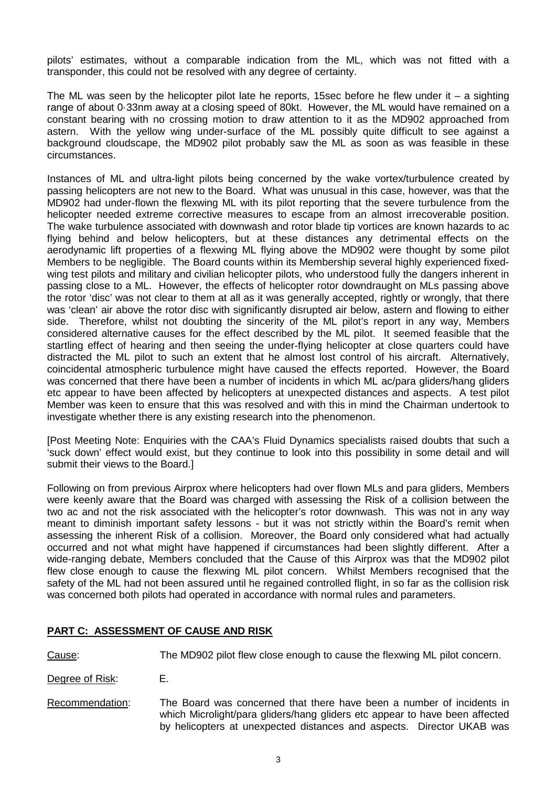pilots' estimates, without a comparable indication from the ML, which was not fitted with a transponder, this could not be resolved with any degree of certainty.

The ML was seen by the helicopter pilot late he reports, 15sec before he flew under it  $-$  a sighting range of about 0·33nm away at a closing speed of 80kt. However, the ML would have remained on a constant bearing with no crossing motion to draw attention to it as the MD902 approached from astern. With the yellow wing under-surface of the ML possibly quite difficult to see against a background cloudscape, the MD902 pilot probably saw the ML as soon as was feasible in these circumstances.

Instances of ML and ultra-light pilots being concerned by the wake vortex/turbulence created by passing helicopters are not new to the Board. What was unusual in this case, however, was that the MD902 had under-flown the flexwing ML with its pilot reporting that the severe turbulence from the helicopter needed extreme corrective measures to escape from an almost irrecoverable position. The wake turbulence associated with downwash and rotor blade tip vortices are known hazards to ac flying behind and below helicopters, but at these distances any detrimental effects on the aerodynamic lift properties of a flexwing ML flying above the MD902 were thought by some pilot Members to be negligible. The Board counts within its Membership several highly experienced fixedwing test pilots and military and civilian helicopter pilots, who understood fully the dangers inherent in passing close to a ML. However, the effects of helicopter rotor downdraught on MLs passing above the rotor 'disc' was not clear to them at all as it was generally accepted, rightly or wrongly, that there was 'clean' air above the rotor disc with significantly disrupted air below, astern and flowing to either side. Therefore, whilst not doubting the sincerity of the ML pilot's report in any way, Members considered alternative causes for the effect described by the ML pilot. It seemed feasible that the startling effect of hearing and then seeing the under-flying helicopter at close quarters could have distracted the ML pilot to such an extent that he almost lost control of his aircraft. Alternatively, coincidental atmospheric turbulence might have caused the effects reported. However, the Board was concerned that there have been a number of incidents in which ML ac/para gliders/hang gliders etc appear to have been affected by helicopters at unexpected distances and aspects. A test pilot Member was keen to ensure that this was resolved and with this in mind the Chairman undertook to investigate whether there is any existing research into the phenomenon.

[Post Meeting Note: Enquiries with the CAA's Fluid Dynamics specialists raised doubts that such a 'suck down' effect would exist, but they continue to look into this possibility in some detail and will submit their views to the Board.]

Following on from previous Airprox where helicopters had over flown MLs and para gliders, Members were keenly aware that the Board was charged with assessing the Risk of a collision between the two ac and not the risk associated with the helicopter's rotor downwash. This was not in any way meant to diminish important safety lessons - but it was not strictly within the Board's remit when assessing the inherent Risk of a collision. Moreover, the Board only considered what had actually occurred and not what might have happened if circumstances had been slightly different. After a wide-ranging debate, Members concluded that the Cause of this Airprox was that the MD902 pilot flew close enough to cause the flexwing ML pilot concern. Whilst Members recognised that the safety of the ML had not been assured until he regained controlled flight, in so far as the collision risk was concerned both pilots had operated in accordance with normal rules and parameters.

## **PART C: ASSESSMENT OF CAUSE AND RISK**

Cause: The MD902 pilot flew close enough to cause the flexwing ML pilot concern.

Degree of Risk: E.

Recommendation: The Board was concerned that there have been a number of incidents in which Microlight/para gliders/hang gliders etc appear to have been affected by helicopters at unexpected distances and aspects. Director UKAB was